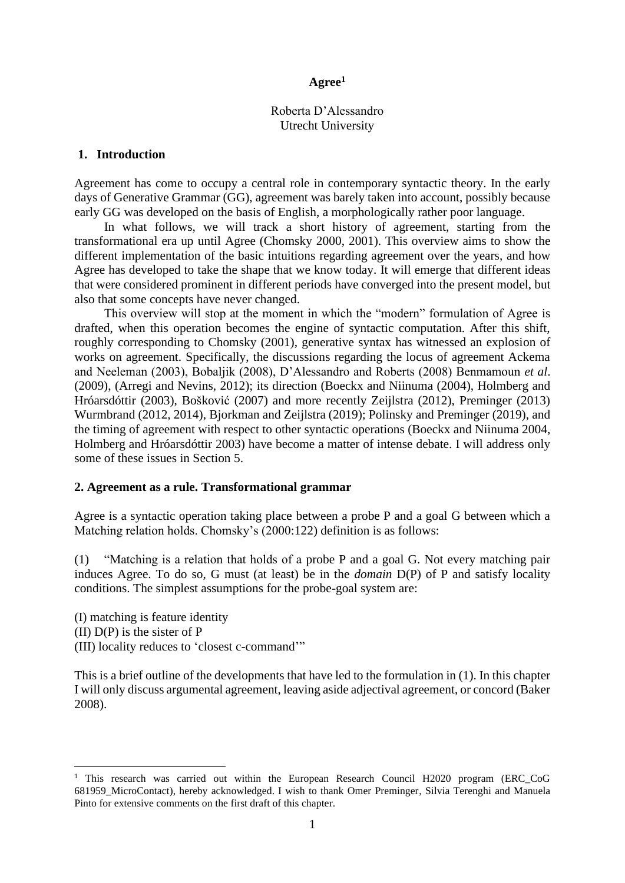### **Agree<sup>1</sup>**

### Roberta D'Alessandro Utrecht University

## **1. Introduction**

Agreement has come to occupy a central role in contemporary syntactic theory. In the early days of Generative Grammar (GG), agreement was barely taken into account, possibly because early GG was developed on the basis of English, a morphologically rather poor language.

In what follows, we will track a short history of agreement, starting from the transformational era up until Agree (Chomsky 2000, 2001). This overview aims to show the different implementation of the basic intuitions regarding agreement over the years, and how Agree has developed to take the shape that we know today. It will emerge that different ideas that were considered prominent in different periods have converged into the present model, but also that some concepts have never changed.

This overview will stop at the moment in which the "modern" formulation of Agree is drafted, when this operation becomes the engine of syntactic computation. After this shift, roughly corresponding to Chomsky (2001), generative syntax has witnessed an explosion of works on agreement. Specifically, the discussions regarding the locus of agreement Ackema and Neeleman (2003), Bobaljik (2008), D'Alessandro and Roberts (2008) Benmamoun *et al*. (2009), (Arregi and Nevins, 2012); its direction (Boeckx and Niinuma (2004), Holmberg and Hróarsdóttir (2003), Bošković (2007) and more recently Zeijlstra (2012), Preminger (2013) Wurmbrand (2012, 2014), Bjorkman and Zeijlstra (2019); Polinsky and Preminger (2019), and the timing of agreement with respect to other syntactic operations (Boeckx and Niinuma 2004, Holmberg and Hróarsdóttir 2003) have become a matter of intense debate. I will address only some of these issues in Section 5.

### **2. Agreement as a rule. Transformational grammar**

Agree is a syntactic operation taking place between a probe P and a goal G between which a Matching relation holds. Chomsky's (2000:122) definition is as follows:

(1) "Matching is a relation that holds of a probe P and a goal G. Not every matching pair induces Agree. To do so, G must (at least) be in the *domain* D(P) of P and satisfy locality conditions. The simplest assumptions for the probe-goal system are:

(I) matching is feature identity (II) D(P) is the sister of P (III) locality reduces to 'closest c-command'"

This is a brief outline of the developments that have led to the formulation in (1). In this chapter I will only discuss argumental agreement, leaving aside adjectival agreement, or concord (Baker 2008).

<sup>&</sup>lt;sup>1</sup> This research was carried out within the European Research Council H2020 program (ERC\_CoG 681959\_MicroContact), hereby acknowledged. I wish to thank Omer Preminger, Silvia Terenghi and Manuela Pinto for extensive comments on the first draft of this chapter.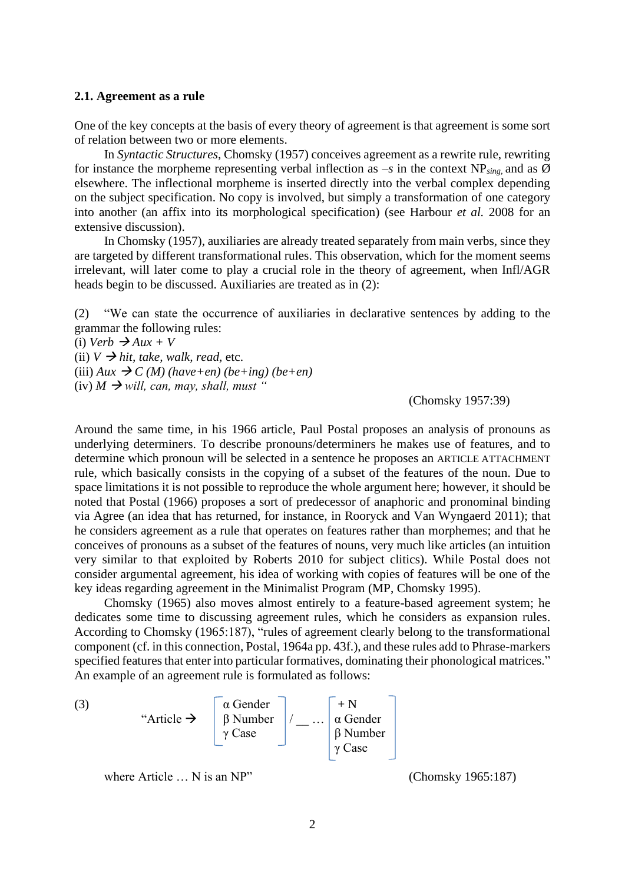#### **2.1. Agreement as a rule**

One of the key concepts at the basis of every theory of agreement is that agreement is some sort of relation between two or more elements.

In *Syntactic Structures*, Chomsky (1957) conceives agreement as a rewrite rule, rewriting for instance the morpheme representing verbal inflection as  $-s$  in the context NP<sub>sing</sub> and as  $\emptyset$ elsewhere. The inflectional morpheme is inserted directly into the verbal complex depending on the subject specification. No copy is involved, but simply a transformation of one category into another (an affix into its morphological specification) (see Harbour *et al.* 2008 for an extensive discussion).

In Chomsky (1957), auxiliaries are already treated separately from main verbs, since they are targeted by different transformational rules. This observation, which for the moment seems irrelevant, will later come to play a crucial role in the theory of agreement, when Infl/AGR heads begin to be discussed. Auxiliaries are treated as in (2):

(2) "We can state the occurrence of auxiliaries in declarative sentences by adding to the grammar the following rules:

 $(i)$  *Verb*  $\rightarrow$  *Aux* + *V* (ii)  $V \rightarrow hit$ , take, walk, read, etc.  $(iii)$  *Aux*  $\rightarrow$  *C (M) (have+en) (be+ing) (be+en)*  $(iv)$  *M*  $\rightarrow$  *will, can, may, shall, must* "

(Chomsky 1957:39)

Around the same time, in his 1966 article, Paul Postal proposes an analysis of pronouns as underlying determiners. To describe pronouns/determiners he makes use of features, and to determine which pronoun will be selected in a sentence he proposes an ARTICLE ATTACHMENT rule, which basically consists in the copying of a subset of the features of the noun. Due to space limitations it is not possible to reproduce the whole argument here; however, it should be noted that Postal (1966) proposes a sort of predecessor of anaphoric and pronominal binding via Agree (an idea that has returned, for instance, in Rooryck and Van Wyngaerd 2011); that he considers agreement as a rule that operates on features rather than morphemes; and that he conceives of pronouns as a subset of the features of nouns, very much like articles (an intuition very similar to that exploited by Roberts 2010 for subject clitics). While Postal does not consider argumental agreement, his idea of working with copies of features will be one of the key ideas regarding agreement in the Minimalist Program (MP, Chomsky 1995).

Chomsky (1965) also moves almost entirely to a feature-based agreement system; he dedicates some time to discussing agreement rules, which he considers as expansion rules. According to Chomsky (1965:187), "rules of agreement clearly belong to the transformational component (cf. in this connection, Postal, 1964a pp. 43f.), and these rules add to Phrase-markers specified features that enter into particular formatives, dominating their phonological matrices." An example of an agreement rule is formulated as follows:



where Article ... N is an NP" (Chomsky 1965:187)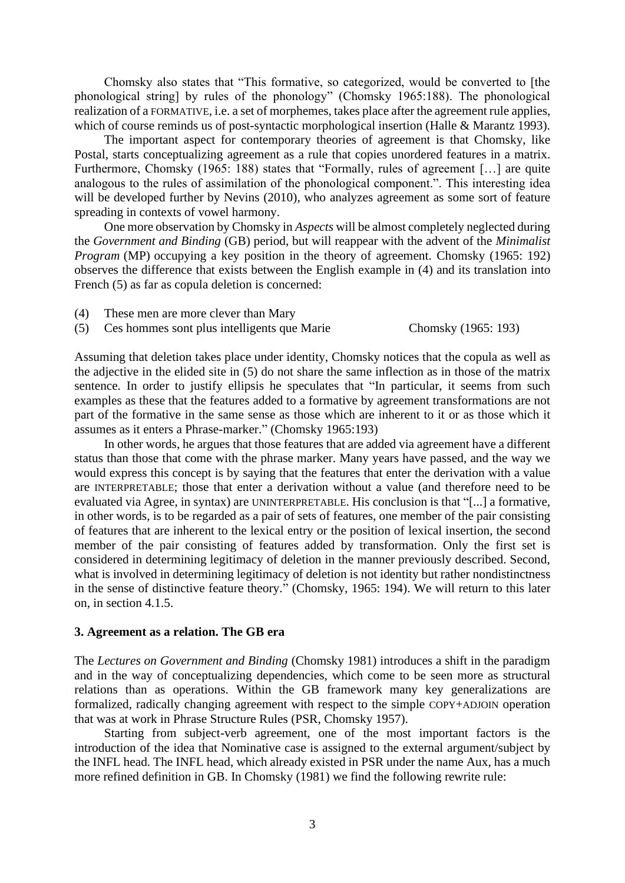Chomsky also states that "This formative, so categorized, would be converted to [the phonological string] by rules of the phonology" (Chomsky 1965:188). The phonological realization of a FORMATIVE, i.e. a set of morphemes, takes place after the agreement rule applies, which of course reminds us of post-syntactic morphological insertion (Halle & Marantz 1993).

The important aspect for contemporary theories of agreement is that Chomsky, like Postal, starts conceptualizing agreement as a rule that copies unordered features in a matrix. Furthermore, Chomsky (1965: 188) states that "Formally, rules of agreement [...] are quite analogous to the rules of assimilation of the phonological component.". This interesting idea will be developed further by Nevins (2010), who analyzes agreement as some sort of feature spreading in contexts of vowel harmony.

One more observation by Chomsky in *Aspects* will be almost completely neglected during the *Government and Binding* (GB) period, but will reappear with the advent of the *Minimalist Program* (MP) occupying a key position in the theory of agreement. Chomsky (1965: 192) observes the difference that exists between the English example in (4) and its translation into French (5) as far as copula deletion is concerned:

- (4) These men are more clever than Mary
- (5) Ces hommes sont plus intelligents que Marie Chomsky (1965: 193)

Assuming that deletion takes place under identity, Chomsky notices that the copula as well as the adjective in the elided site in (5) do not share the same inflection as in those of the matrix sentence. In order to justify ellipsis he speculates that "In particular, it seems from such examples as these that the features added to a formative by agreement transformations are not part of the formative in the same sense as those which are inherent to it or as those which it assumes as it enters a Phrase-marker." (Chomsky 1965:193)

In other words, he argues that those features that are added via agreement have a different status than those that come with the phrase marker. Many years have passed, and the way we would express this concept is by saying that the features that enter the derivation with a value are INTERPRETABLE; those that enter a derivation without a value (and therefore need to be evaluated via Agree, in syntax) are UNINTERPRETABLE. His conclusion is that "[...] a formative, in other words, is to be regarded as a pair of sets of features, one member of the pair consisting of features that are inherent to the lexical entry or the position of lexical insertion, the second member of the pair consisting of features added by transformation. Only the first set is considered in determining legitimacy of deletion in the manner previously described. Second, what is involved in determining legitimacy of deletion is not identity but rather nondistinctness in the sense of distinctive feature theory." (Chomsky, 1965: 194). We will return to this later on, in section 4.1.5.

#### **3. Agreement as a relation. The GB era**

The *Lectures on Government and Binding* (Chomsky 1981) introduces a shift in the paradigm and in the way of conceptualizing dependencies, which come to be seen more as structural relations than as operations. Within the GB framework many key generalizations are formalized, radically changing agreement with respect to the simple COPY+ADJOIN operation that was at work in Phrase Structure Rules (PSR, Chomsky 1957).

Starting from subject-verb agreement, one of the most important factors is the introduction of the idea that Nominative case is assigned to the external argument/subject by the INFL head. The INFL head, which already existed in PSR under the name Aux, has a much more refined definition in GB. In Chomsky (1981) we find the following rewrite rule: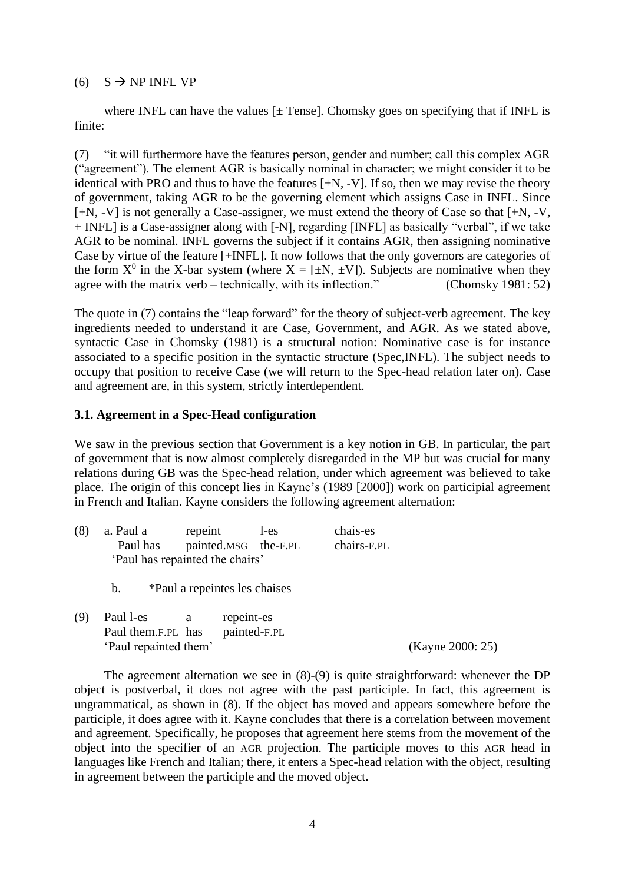### (6)  $S \rightarrow NP$  INFL VP

where INFL can have the values  $[±$  Tensel. Chomsky goes on specifying that if INFL is finite:

<span id="page-3-0"></span>(7) "it will furthermore have the features person, gender and number; call this complex AGR ("agreement"). The element AGR is basically nominal in character; we might consider it to be identical with PRO and thus to have the features [+N, -V]. If so, then we may revise the theory of government, taking AGR to be the governing element which assigns Case in INFL. Since [+N, -V] is not generally a Case-assigner, we must extend the theory of Case so that [+N, -V, + INFL] is a Case-assigner along with [-N], regarding [INFL] as basically "verbal", if we take AGR to be nominal. INFL governs the subject if it contains AGR, then assigning nominative Case by virtue of the feature [+INFL]. It now follows that the only governors are categories of the form  $X^0$  in the X-bar system (where  $X = [\pm N, \pm V]$ ). Subjects are nominative when they agree with the matrix verb – technically, with its inflection." (Chomsky 1981: 52)

The quote in [\(7\)](#page-3-0) contains the "leap forward" for the theory of subject-verb agreement. The key ingredients needed to understand it are Case, Government, and AGR. As we stated above, syntactic Case in Chomsky (1981) is a structural notion: Nominative case is for instance associated to a specific position in the syntactic structure (Spec,INFL). The subject needs to occupy that position to receive Case (we will return to the Spec-head relation later on). Case and agreement are, in this system, strictly interdependent.

## **3.1. Agreement in a Spec-Head configuration**

We saw in the previous section that Government is a key notion in GB. In particular, the part of government that is now almost completely disregarded in the MP but was crucial for many relations during GB was the Spec-head relation, under which agreement was believed to take place. The origin of this concept lies in Kayne's (1989 [2000]) work on participial agreement in French and Italian. Kayne considers the following agreement alternation:

<span id="page-3-1"></span>

| (8) | a. Paul a                       | repeint                       |            | l-es                 | chais-es    |                  |
|-----|---------------------------------|-------------------------------|------------|----------------------|-------------|------------------|
|     | Paul has                        |                               |            | painted.MSG the-F.PL | chairs-F.PL |                  |
|     | 'Paul has repainted the chairs' |                               |            |                      |             |                  |
|     | $\mathbf{b}$ .                  | *Paul a repeintes les chaises |            |                      |             |                  |
| (9) | Paul 1-es                       | a                             | repeint-es |                      |             |                  |
|     | Paul them.F.PL has              |                               |            | painted-F.PL         |             |                  |
|     | 'Paul repainted them'           |                               |            |                      |             | (Kayne 2000: 25) |

<span id="page-3-2"></span>The agreement alternation we see in [\(8\)](#page-3-1)[-\(9\)](#page-3-2) is quite straightforward: whenever the DP object is postverbal, it does not agree with the past participle. In fact, this agreement is ungrammatical, as shown in [\(8\).](#page-3-1) If the object has moved and appears somewhere before the participle, it does agree with it. Kayne concludes that there is a correlation between movement and agreement. Specifically, he proposes that agreement here stems from the movement of the object into the specifier of an AGR projection. The participle moves to this AGR head in languages like French and Italian; there, it enters a Spec-head relation with the object, resulting in agreement between the participle and the moved object.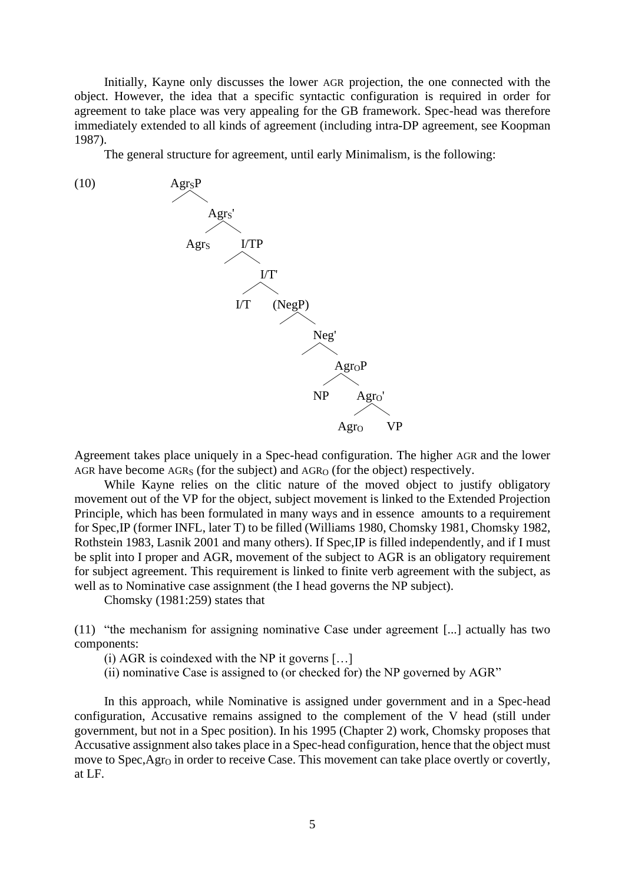Initially, Kayne only discusses the lower AGR projection, the one connected with the object. However, the idea that a specific syntactic configuration is required in order for agreement to take place was very appealing for the GB framework. Spec-head was therefore immediately extended to all kinds of agreement (including intra-DP agreement, see Koopman 1987).

<span id="page-4-0"></span>The general structure for agreement, until early Minimalism, is the following:



Agreement takes place uniquely in a Spec-head configuration. The higher AGR and the lower AGR have become  $AGR<sub>S</sub>$  (for the subject) and  $AGR<sub>O</sub>$  (for the object) respectively.

While Kayne relies on the clitic nature of the moved object to justify obligatory movement out of the VP for the object, subject movement is linked to the Extended Projection Principle, which has been formulated in many ways and in essence amounts to a requirement for Spec,IP (former INFL, later T) to be filled (Williams 1980, Chomsky 1981, Chomsky 1982, Rothstein 1983, Lasnik 2001 and many others). If Spec,IP is filled independently, and if I must be split into I proper and AGR, movement of the subject to AGR is an obligatory requirement for subject agreement. This requirement is linked to finite verb agreement with the subject, as well as to Nominative case assignment (the I head governs the NP subject).

Chomsky (1981:259) states that

(11) "the mechanism for assigning nominative Case under agreement [...] actually has two components:

- (i) AGR is coindexed with the NP it governs […]
- (ii) nominative Case is assigned to (or checked for) the NP governed by AGR"

In this approach, while Nominative is assigned under government and in a Spec-head configuration, Accusative remains assigned to the complement of the V head (still under government, but not in a Spec position). In his 1995 (Chapter 2) work, Chomsky proposes that Accusative assignment also takes place in a Spec-head configuration, hence that the object must move to Spec, Agr<sub>O</sub> in order to receive Case. This movement can take place overtly or covertly, at LF.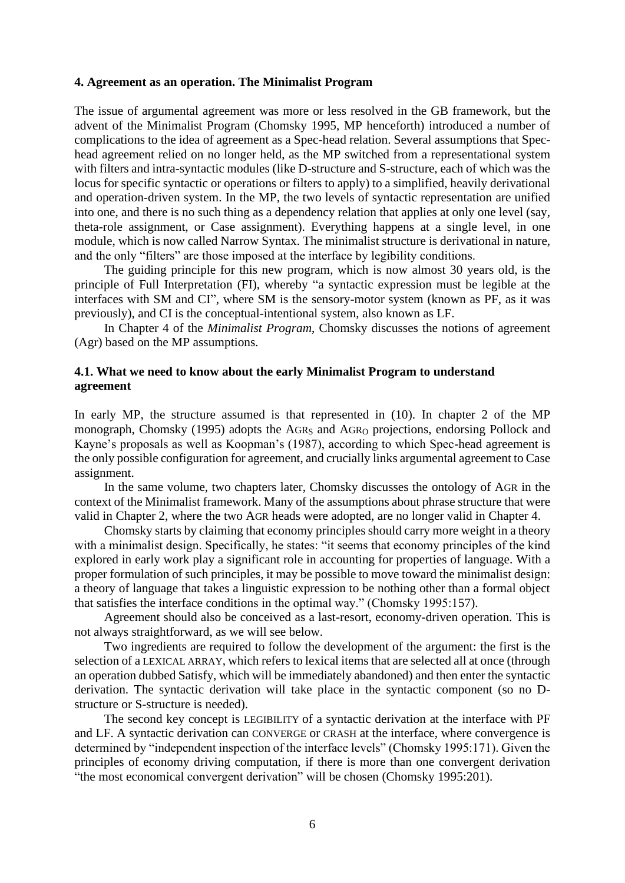#### **4. Agreement as an operation. The Minimalist Program**

The issue of argumental agreement was more or less resolved in the GB framework, but the advent of the Minimalist Program (Chomsky 1995, MP henceforth) introduced a number of complications to the idea of agreement as a Spec-head relation. Several assumptions that Spechead agreement relied on no longer held, as the MP switched from a representational system with filters and intra-syntactic modules (like D-structure and S-structure, each of which was the locus for specific syntactic or operations or filters to apply) to a simplified, heavily derivational and operation-driven system. In the MP, the two levels of syntactic representation are unified into one, and there is no such thing as a dependency relation that applies at only one level (say, theta-role assignment, or Case assignment). Everything happens at a single level, in one module, which is now called Narrow Syntax. The minimalist structure is derivational in nature, and the only "filters" are those imposed at the interface by legibility conditions.

The guiding principle for this new program, which is now almost 30 years old, is the principle of Full Interpretation (FI), whereby "a syntactic expression must be legible at the interfaces with SM and CI", where SM is the sensory-motor system (known as PF, as it was previously), and CI is the conceptual-intentional system, also known as LF.

In Chapter 4 of the *Minimalist Program*, Chomsky discusses the notions of agreement (Agr) based on the MP assumptions.

### **4.1. What we need to know about the early Minimalist Program to understand agreement**

In early MP, the structure assumed is that represented in [\(10\).](#page-4-0) In chapter 2 of the MP monograph, Chomsky (1995) adopts the AGRs and AGR<sub>O</sub> projections, endorsing Pollock and Kayne's proposals as well as Koopman's (1987), according to which Spec-head agreement is the only possible configuration for agreement, and crucially links argumental agreement to Case assignment.

In the same volume, two chapters later, Chomsky discusses the ontology of AGR in the context of the Minimalist framework. Many of the assumptions about phrase structure that were valid in Chapter 2, where the two AGR heads were adopted, are no longer valid in Chapter 4.

Chomsky starts by claiming that economy principles should carry more weight in a theory with a minimalist design. Specifically, he states: "it seems that economy principles of the kind explored in early work play a significant role in accounting for properties of language. With a proper formulation of such principles, it may be possible to move toward the minimalist design: a theory of language that takes a linguistic expression to be nothing other than a formal object that satisfies the interface conditions in the optimal way." (Chomsky 1995:157).

Agreement should also be conceived as a last-resort, economy-driven operation. This is not always straightforward, as we will see below.

Two ingredients are required to follow the development of the argument: the first is the selection of a LEXICAL ARRAY, which refers to lexical items that are selected all at once (through an operation dubbed Satisfy, which will be immediately abandoned) and then enter the syntactic derivation. The syntactic derivation will take place in the syntactic component (so no Dstructure or S-structure is needed).

The second key concept is LEGIBILITY of a syntactic derivation at the interface with PF and LF. A syntactic derivation can CONVERGE or CRASH at the interface, where convergence is determined by "independent inspection of the interface levels" (Chomsky 1995:171). Given the principles of economy driving computation, if there is more than one convergent derivation "the most economical convergent derivation" will be chosen (Chomsky 1995:201).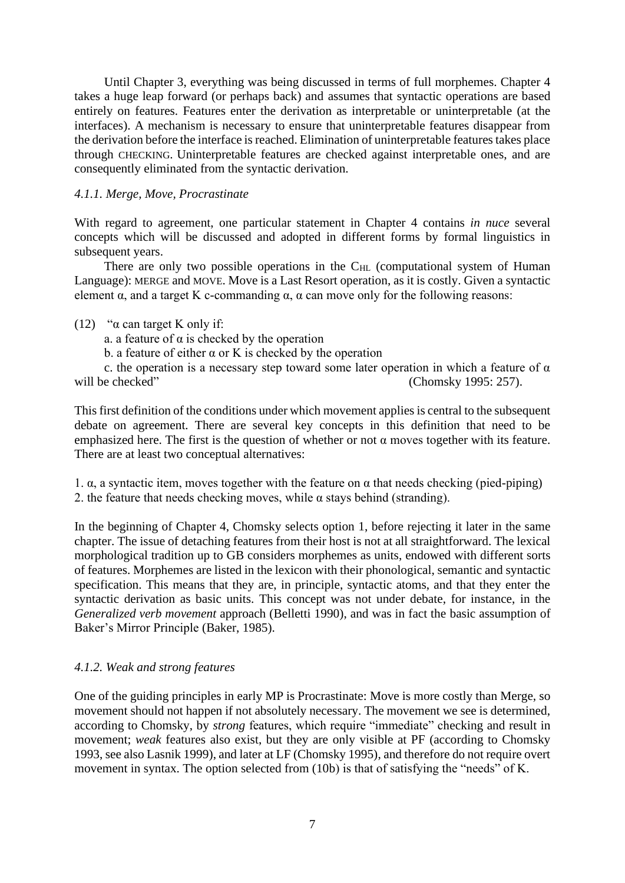Until Chapter 3, everything was being discussed in terms of full morphemes. Chapter 4 takes a huge leap forward (or perhaps back) and assumes that syntactic operations are based entirely on features. Features enter the derivation as interpretable or uninterpretable (at the interfaces). A mechanism is necessary to ensure that uninterpretable features disappear from the derivation before the interface is reached. Elimination of uninterpretable features takes place through CHECKING. Uninterpretable features are checked against interpretable ones, and are consequently eliminated from the syntactic derivation.

## *4.1.1. Merge, Move, Procrastinate*

With regard to agreement, one particular statement in Chapter 4 contains *in nuce* several concepts which will be discussed and adopted in different forms by formal linguistics in subsequent years.

There are only two possible operations in the  $C_{HL}$  (computational system of Human Language): MERGE and MOVE. Move is a Last Resort operation, as it is costly. Given a syntactic element  $\alpha$ , and a target K c-commanding  $\alpha$ ,  $\alpha$  can move only for the following reasons:

## (12) " $\alpha$  can target K only if:

a. a feature of  $\alpha$  is checked by the operation

b. a feature of either  $\alpha$  or K is checked by the operation

c. the operation is a necessary step toward some later operation in which a feature of  $\alpha$ will be checked" (Chomsky 1995: 257).

This first definition of the conditions under which movement applies is central to the subsequent debate on agreement. There are several key concepts in this definition that need to be emphasized here. The first is the question of whether or not  $\alpha$  moves together with its feature. There are at least two conceptual alternatives:

1. α, a syntactic item, moves together with the feature on α that needs checking (pied-piping) 2. the feature that needs checking moves, while  $\alpha$  stays behind (stranding).

In the beginning of Chapter 4, Chomsky selects option 1, before rejecting it later in the same chapter. The issue of detaching features from their host is not at all straightforward. The lexical morphological tradition up to GB considers morphemes as units, endowed with different sorts of features. Morphemes are listed in the lexicon with their phonological, semantic and syntactic specification. This means that they are, in principle, syntactic atoms, and that they enter the syntactic derivation as basic units. This concept was not under debate, for instance, in the *Generalized verb movement* approach (Belletti 1990), and was in fact the basic assumption of Baker's Mirror Principle (Baker, 1985).

## *4.1.2. Weak and strong features*

One of the guiding principles in early MP is Procrastinate: Move is more costly than Merge, so movement should not happen if not absolutely necessary. The movement we see is determined, according to Chomsky, by *strong* features, which require "immediate" checking and result in movement; *weak* features also exist, but they are only visible at PF (according to Chomsky 1993, see also Lasnik 1999), and later at LF (Chomsky 1995), and therefore do not require overt movement in syntax. The option selected from (10b) is that of satisfying the "needs" of K.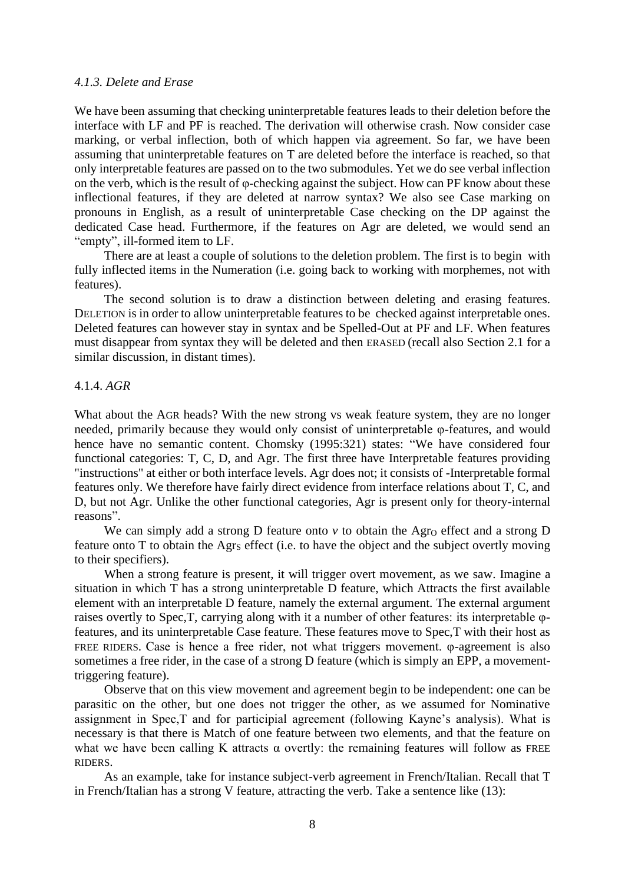#### *4.1.3. Delete and Erase*

We have been assuming that checking uninterpretable features leads to their deletion before the interface with LF and PF is reached. The derivation will otherwise crash. Now consider case marking, or verbal inflection, both of which happen via agreement. So far, we have been assuming that uninterpretable features on T are deleted before the interface is reached, so that only interpretable features are passed on to the two submodules. Yet we do see verbal inflection on the verb, which is the result of  $\varphi$ -checking against the subject. How can PF know about these inflectional features, if they are deleted at narrow syntax? We also see Case marking on pronouns in English, as a result of uninterpretable Case checking on the DP against the dedicated Case head. Furthermore, if the features on Agr are deleted, we would send an "empty", ill-formed item to LF.

There are at least a couple of solutions to the deletion problem. The first is to begin with fully inflected items in the Numeration (i.e. going back to working with morphemes, not with features).

The second solution is to draw a distinction between deleting and erasing features. DELETION is in order to allow uninterpretable features to be checked against interpretable ones. Deleted features can however stay in syntax and be Spelled-Out at PF and LF. When features must disappear from syntax they will be deleted and then ERASED (recall also Section 2.1 for a similar discussion, in distant times).

### 4.1.4. *AGR*

What about the AGR heads? With the new strong vs weak feature system, they are no longer needed, primarily because they would only consist of uninterpretable φ-features, and would hence have no semantic content. Chomsky (1995:321) states: "We have considered four functional categories: T, C, D, and Agr. The first three have Interpretable features providing "instructions" at either or both interface levels. Agr does not; it consists of -Interpretable formal features only. We therefore have fairly direct evidence from interface relations about T, C, and D, but not Agr. Unlike the other functional categories, Agr is present only for theory-internal reasons".

We can simply add a strong  $D$  feature onto  $\nu$  to obtain the Agr<sub>O</sub> effect and a strong  $D$ feature onto  $T$  to obtain the Agr<sub>s</sub> effect (i.e. to have the object and the subject overtly moving to their specifiers).

When a strong feature is present, it will trigger overt movement, as we saw. Imagine a situation in which T has a strong uninterpretable D feature, which Attracts the first available element with an interpretable D feature, namely the external argument. The external argument raises overtly to Spec,T, carrying along with it a number of other features: its interpretable φfeatures, and its uninterpretable Case feature. These features move to Spec,T with their host as FREE RIDERS. Case is hence a free rider, not what triggers movement. φ-agreement is also sometimes a free rider, in the case of a strong D feature (which is simply an EPP, a movementtriggering feature).

Observe that on this view movement and agreement begin to be independent: one can be parasitic on the other, but one does not trigger the other, as we assumed for Nominative assignment in Spec,T and for participial agreement (following Kayne's analysis). What is necessary is that there is Match of one feature between two elements, and that the feature on what we have been calling K attracts  $\alpha$  overtly: the remaining features will follow as FREE RIDERS.

As an example, take for instance subject-verb agreement in French/Italian. Recall that T in French/Italian has a strong V feature, attracting the verb. Take a sentence like [\(13\):](#page-8-0)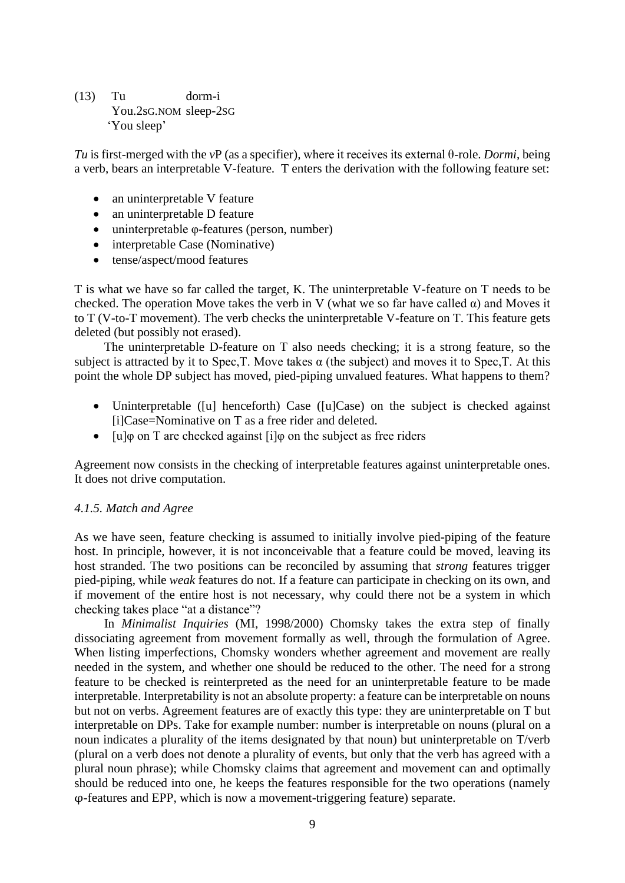<span id="page-8-0"></span>(13) Tu dorm-i You.2sG.NOM sleep-2SG 'You sleep'

*Tu* is first-merged with the *v*P (as a specifier)*,* where it receives its external θ-role. *Dormi*, being a verb, bears an interpretable V-feature. T enters the derivation with the following feature set:

- an uninterpretable V feature
- an uninterpretable D feature
- uninterpretable φ-features (person, number)
- interpretable Case (Nominative)
- tense/aspect/mood features

T is what we have so far called the target, K. The uninterpretable V-feature on T needs to be checked. The operation Move takes the verb in V (what we so far have called  $\alpha$ ) and Moves it to T (V-to-T movement). The verb checks the uninterpretable V-feature on T. This feature gets deleted (but possibly not erased).

The uninterpretable D-feature on T also needs checking; it is a strong feature, so the subject is attracted by it to Spec, T. Move takes  $\alpha$  (the subject) and moves it to Spec, T. At this point the whole DP subject has moved, pied-piping unvalued features. What happens to them?

- Uninterpretable ([u] henceforth) Case ([u]Case) on the subject is checked against [i]Case=Nominative on T as a free rider and deleted.
- [u]<sub> $\phi$ </sub> [u] on T are checked against [i] o on the subject as free riders

Agreement now consists in the checking of interpretable features against uninterpretable ones. It does not drive computation.

## *4.1.5. Match and Agree*

As we have seen, feature checking is assumed to initially involve pied-piping of the feature host. In principle, however, it is not inconceivable that a feature could be moved, leaving its host stranded. The two positions can be reconciled by assuming that *strong* features trigger pied-piping, while *weak* features do not. If a feature can participate in checking on its own, and if movement of the entire host is not necessary, why could there not be a system in which checking takes place "at a distance"?

In *Minimalist Inquiries* (MI, 1998/2000) Chomsky takes the extra step of finally dissociating agreement from movement formally as well, through the formulation of Agree. When listing imperfections, Chomsky wonders whether agreement and movement are really needed in the system, and whether one should be reduced to the other. The need for a strong feature to be checked is reinterpreted as the need for an uninterpretable feature to be made interpretable. Interpretability is not an absolute property: a feature can be interpretable on nouns but not on verbs. Agreement features are of exactly this type: they are uninterpretable on T but interpretable on DPs. Take for example number: number is interpretable on nouns (plural on a noun indicates a plurality of the items designated by that noun) but uninterpretable on T/verb (plural on a verb does not denote a plurality of events, but only that the verb has agreed with a plural noun phrase); while Chomsky claims that agreement and movement can and optimally should be reduced into one, he keeps the features responsible for the two operations (namely φ-features and EPP, which is now a movement-triggering feature) separate.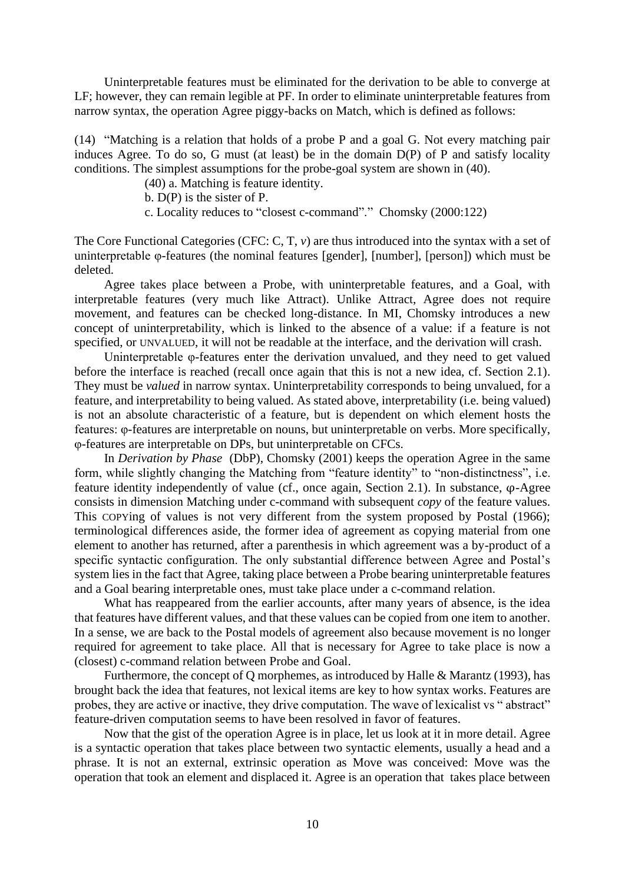Uninterpretable features must be eliminated for the derivation to be able to converge at LF; however, they can remain legible at PF. In order to eliminate uninterpretable features from narrow syntax, the operation Agree piggy-backs on Match, which is defined as follows:

(14) "Matching is a relation that holds of a probe P and a goal G. Not every matching pair induces Agree. To do so, G must (at least) be in the domain D(P) of P and satisfy locality conditions. The simplest assumptions for the probe-goal system are shown in (40).

(40) a. Matching is feature identity.

b. D(P) is the sister of P.

c. Locality reduces to "closest c-command"." Chomsky (2000:122)

The Core Functional Categories (CFC: C, T, *v*) are thus introduced into the syntax with a set of uninterpretable φ-features (the nominal features [gender], [number], [person]) which must be deleted.

Agree takes place between a Probe, with uninterpretable features, and a Goal, with interpretable features (very much like Attract). Unlike Attract, Agree does not require movement, and features can be checked long-distance. In MI, Chomsky introduces a new concept of uninterpretability, which is linked to the absence of a value: if a feature is not specified, or UNVALUED, it will not be readable at the interface, and the derivation will crash.

Uninterpretable φ-features enter the derivation unvalued, and they need to get valued before the interface is reached (recall once again that this is not a new idea, cf. Section 2.1). They must be *valued* in narrow syntax. Uninterpretability corresponds to being unvalued, for a feature, and interpretability to being valued. As stated above, interpretability (i.e. being valued) is not an absolute characteristic of a feature, but is dependent on which element hosts the features: φ-features are interpretable on nouns, but uninterpretable on verbs. More specifically, φ-features are interpretable on DPs, but uninterpretable on CFCs.

In *Derivation by Phase* (DbP), Chomsky (2001) keeps the operation Agree in the same form, while slightly changing the Matching from "feature identity" to "non-distinctness", i.e. feature identity independently of value (cf., once again, Section 2.1). In substance, φ-Agree consists in dimension Matching under c-command with subsequent *copy* of the feature values. This COPYing of values is not very different from the system proposed by Postal (1966); terminological differences aside, the former idea of agreement as copying material from one element to another has returned, after a parenthesis in which agreement was a by-product of a specific syntactic configuration. The only substantial difference between Agree and Postal's system lies in the fact that Agree, taking place between a Probe bearing uninterpretable features and a Goal bearing interpretable ones, must take place under a c-command relation.

What has reappeared from the earlier accounts, after many years of absence, is the idea that features have different values, and that these values can be copied from one item to another. In a sense, we are back to the Postal models of agreement also because movement is no longer required for agreement to take place. All that is necessary for Agree to take place is now a (closest) c-command relation between Probe and Goal.

Furthermore, the concept of Q morphemes, as introduced by Halle & Marantz (1993), has brought back the idea that features, not lexical items are key to how syntax works. Features are probes, they are active or inactive, they drive computation. The wave of lexicalist vs " abstract" feature-driven computation seems to have been resolved in favor of features.

Now that the gist of the operation Agree is in place, let us look at it in more detail. Agree is a syntactic operation that takes place between two syntactic elements, usually a head and a phrase. It is not an external, extrinsic operation as Move was conceived: Move was the operation that took an element and displaced it. Agree is an operation that takes place between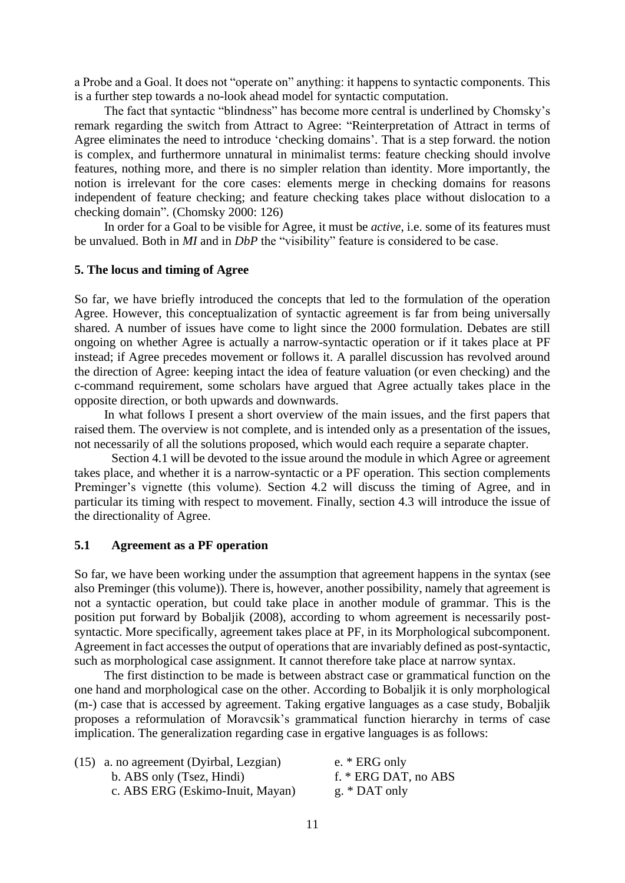a Probe and a Goal. It does not "operate on" anything: it happens to syntactic components. This is a further step towards a no-look ahead model for syntactic computation.

The fact that syntactic "blindness" has become more central is underlined by Chomsky's remark regarding the switch from Attract to Agree: "Reinterpretation of Attract in terms of Agree eliminates the need to introduce 'checking domains'. That is a step forward. the notion is complex, and furthermore unnatural in minimalist terms: feature checking should involve features, nothing more, and there is no simpler relation than identity. More importantly, the notion is irrelevant for the core cases: elements merge in checking domains for reasons independent of feature checking; and feature checking takes place without dislocation to a checking domain". (Chomsky 2000: 126)

In order for a Goal to be visible for Agree, it must be *active*, i.e. some of its features must be unvalued. Both in *MI* and in *DbP* the "visibility" feature is considered to be case.

### **5. The locus and timing of Agree**

So far, we have briefly introduced the concepts that led to the formulation of the operation Agree. However, this conceptualization of syntactic agreement is far from being universally shared. A number of issues have come to light since the 2000 formulation. Debates are still ongoing on whether Agree is actually a narrow-syntactic operation or if it takes place at PF instead; if Agree precedes movement or follows it. A parallel discussion has revolved around the direction of Agree: keeping intact the idea of feature valuation (or even checking) and the c-command requirement, some scholars have argued that Agree actually takes place in the opposite direction, or both upwards and downwards.

In what follows I present a short overview of the main issues, and the first papers that raised them. The overview is not complete, and is intended only as a presentation of the issues, not necessarily of all the solutions proposed, which would each require a separate chapter.

Section 4.1 will be devoted to the issue around the module in which Agree or agreement takes place, and whether it is a narrow-syntactic or a PF operation. This section complements Preminger's vignette (this volume). Section 4.2 will discuss the timing of Agree, and in particular its timing with respect to movement. Finally, section 4.3 will introduce the issue of the directionality of Agree.

### **5.1 Agreement as a PF operation**

So far, we have been working under the assumption that agreement happens in the syntax (see also Preminger (this volume)). There is, however, another possibility, namely that agreement is not a syntactic operation, but could take place in another module of grammar. This is the position put forward by Bobaljik (2008), according to whom agreement is necessarily postsyntactic. More specifically, agreement takes place at PF, in its Morphological subcomponent. Agreement in fact accesses the output of operations that are invariably defined as post-syntactic, such as morphological case assignment. It cannot therefore take place at narrow syntax.

The first distinction to be made is between abstract case or grammatical function on the one hand and morphological case on the other. According to Bobaljik it is only morphological (m-) case that is accessed by agreement. Taking ergative languages as a case study, Bobaljik proposes a reformulation of Moravcsik's grammatical function hierarchy in terms of case implication. The generalization regarding case in ergative languages is as follows:

| (15) a. no agreement (Dyirbal, Lezgian) | e. $*$ ERG only        |
|-----------------------------------------|------------------------|
| b. ABS only (Tsez, Hindi)               | f. $*$ ERG DAT, no ABS |
| c. ABS ERG (Eskimo-Inuit, Mayan)        | g. * $DATA$ only       |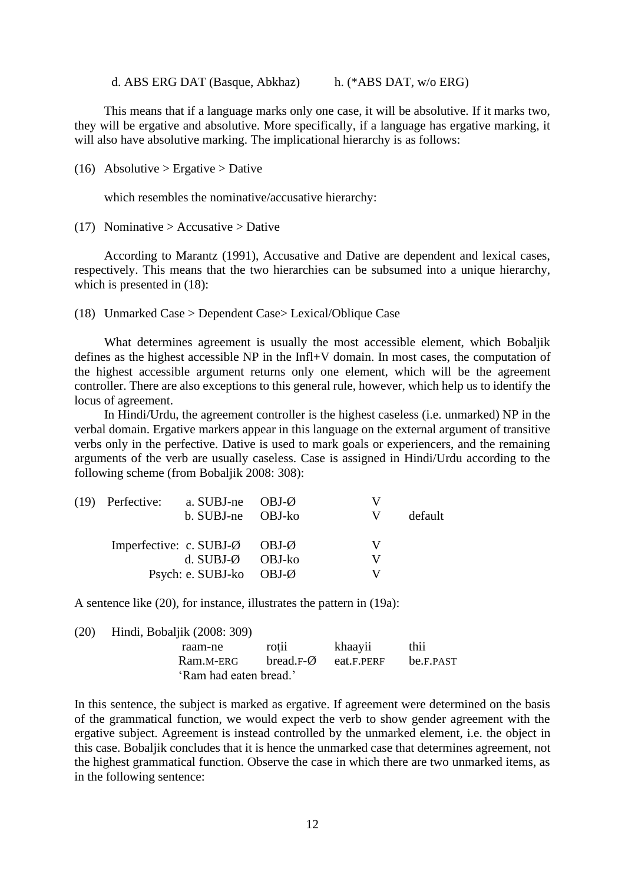d. ABS ERG DAT (Basque, Abkhaz) h. (\*ABS DAT, w/o ERG)

This means that if a language marks only one case, it will be absolutive. If it marks two, they will be ergative and absolutive. More specifically, if a language has ergative marking, it will also have absolutive marking. The implicational hierarchy is as follows:

(16) Absolutive > Ergative > Dative

which resembles the nominative/accusative hierarchy:

(17) Nominative  $>$  Accusative  $>$  Dative

According to Marantz (1991), Accusative and Dative are dependent and lexical cases, respectively. This means that the two hierarchies can be subsumed into a unique hierarchy, which is presented in (18):

(18) Unmarked Case > Dependent Case> Lexical/Oblique Case

What determines agreement is usually the most accessible element, which Bobaljik defines as the highest accessible NP in the Infl+V domain. In most cases, the computation of the highest accessible argument returns only one element, which will be the agreement controller. There are also exceptions to this general rule, however, which help us to identify the locus of agreement.

In Hindi/Urdu, the agreement controller is the highest caseless (i.e. unmarked) NP in the verbal domain. Ergative markers appear in this language on the external argument of transitive verbs only in the perfective. Dative is used to mark goals or experiencers, and the remaining arguments of the verb are usually caseless. Case is assigned in Hindi/Urdu according to the following scheme (from Bobaljik 2008: 308):

| $(19)$ Perfective:        | a. SUBJ-ne $OBJ-Ø$ |         | v |         |
|---------------------------|--------------------|---------|---|---------|
|                           | b. SUBJ-ne OBJ-ko  |         | v | default |
|                           |                    |         |   |         |
| Imperfective: c. $SUBJ-Q$ |                    | OBJ-Ø   |   |         |
|                           | d. $SUBJ-Q$ OBJ-ko |         | v |         |
|                           | Psych: e. SUBJ-ko  | $OBJ-Ø$ |   |         |

A sentence like (20), for instance, illustrates the pattern in (19a):

| (20) | Hindi, Bobaljik (2008: 309) |                      |            |           |
|------|-----------------------------|----------------------|------------|-----------|
|      | raam-ne                     | rotii                | khaayii    | thii      |
|      | Ram.M-ERG                   | bread. $F-\emptyset$ | eat.F.PERF | be.F.PAST |
|      | 'Ram had eaten bread.'      |                      |            |           |

In this sentence, the subject is marked as ergative. If agreement were determined on the basis of the grammatical function, we would expect the verb to show gender agreement with the ergative subject. Agreement is instead controlled by the unmarked element, i.e. the object in this case. Bobaljik concludes that it is hence the unmarked case that determines agreement, not the highest grammatical function. Observe the case in which there are two unmarked items, as in the following sentence: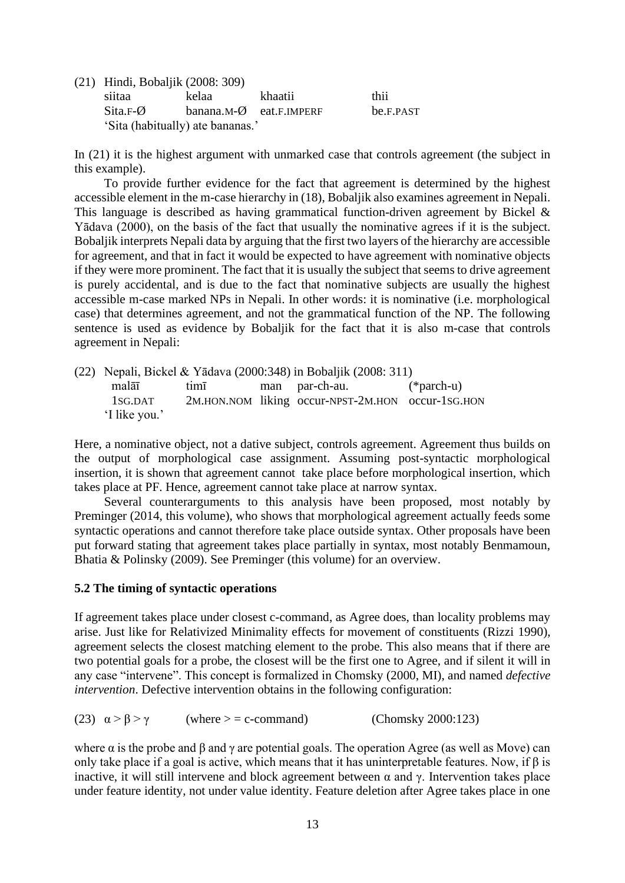| (21) Hindi, Bobaljik (2008: 309) |                                    |         |           |  |  |
|----------------------------------|------------------------------------|---------|-----------|--|--|
| siitaa                           | kelaa                              | khaatii | thii.     |  |  |
| Sita.F-Ø                         | banana.M- $\emptyset$ eat.F.IMPERF |         | be.F.PAST |  |  |
| 'Sita (habitually) ate bananas.' |                                    |         |           |  |  |

In (21) it is the highest argument with unmarked case that controls agreement (the subject in this example).

To provide further evidence for the fact that agreement is determined by the highest accessible element in the m-case hierarchy in (18), Bobaljik also examines agreement in Nepali. This language is described as having grammatical function-driven agreement by Bickel & Yādava (2000), on the basis of the fact that usually the nominative agrees if it is the subject. Bobaljik interprets Nepali data by arguing that the first two layers of the hierarchy are accessible for agreement, and that in fact it would be expected to have agreement with nominative objects if they were more prominent. The fact that it is usually the subject that seems to drive agreement is purely accidental, and is due to the fact that nominative subjects are usually the highest accessible m-case marked NPs in Nepali. In other words: it is nominative (i.e. morphological case) that determines agreement, and not the grammatical function of the NP. The following sentence is used as evidence by Bobaljik for the fact that it is also m-case that controls agreement in Nepali:

(22) Nepali, Bickel & Yādava (2000:348) in Bobaljik (2008: 311) malāī timī man par-ch-au. (\*parch-u) 1SG.DAT 2M.HON.NOM liking occur-NPST-2M.HON occur-1SG.HON 'I like you.'

Here, a nominative object, not a dative subject, controls agreement. Agreement thus builds on the output of morphological case assignment. Assuming post-syntactic morphological insertion, it is shown that agreement cannot take place before morphological insertion, which takes place at PF. Hence, agreement cannot take place at narrow syntax.

Several counterarguments to this analysis have been proposed, most notably by Preminger (2014, this volume), who shows that morphological agreement actually feeds some syntactic operations and cannot therefore take place outside syntax. Other proposals have been put forward stating that agreement takes place partially in syntax, most notably Benmamoun, Bhatia & Polinsky (2009). See Preminger (this volume) for an overview.

### **5.2 The timing of syntactic operations**

If agreement takes place under closest c-command, as Agree does, than locality problems may arise. Just like for Relativized Minimality effects for movement of constituents (Rizzi 1990), agreement selects the closest matching element to the probe. This also means that if there are two potential goals for a probe, the closest will be the first one to Agree, and if silent it will in any case "intervene". This concept is formalized in Chomsky (2000, MI), and named *defective intervention*. Defective intervention obtains in the following configuration:

(23)  $\alpha > \beta > \gamma$  (where  $> \alpha = c$ -command) (Chomsky 2000:123)

where  $\alpha$  is the probe and  $\beta$  and  $\gamma$  are potential goals. The operation Agree (as well as Move) can only take place if a goal is active, which means that it has uninterpretable features. Now, if β is inactive, it will still intervene and block agreement between α and γ. Intervention takes place under feature identity, not under value identity. Feature deletion after Agree takes place in one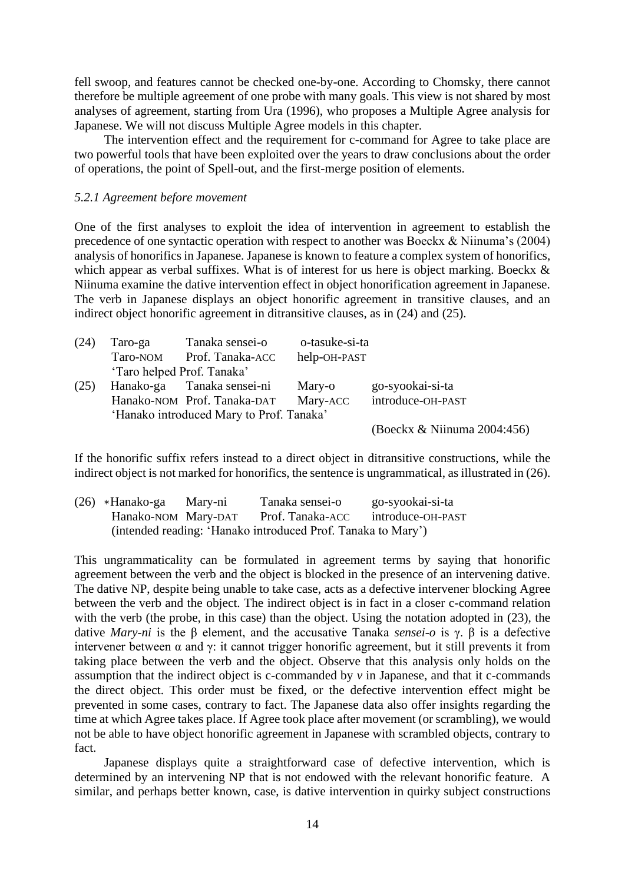fell swoop, and features cannot be checked one-by-one. According to Chomsky, there cannot therefore be multiple agreement of one probe with many goals. This view is not shared by most analyses of agreement, starting from Ura (1996), who proposes a Multiple Agree analysis for Japanese. We will not discuss Multiple Agree models in this chapter.

The intervention effect and the requirement for c-command for Agree to take place are two powerful tools that have been exploited over the years to draw conclusions about the order of operations, the point of Spell-out, and the first-merge position of elements.

### *5.2.1 Agreement before movement*

One of the first analyses to exploit the idea of intervention in agreement to establish the precedence of one syntactic operation with respect to another was Boeckx & Niinuma's (2004) analysis of honorifics in Japanese. Japanese is known to feature a complex system of honorifics, which appear as verbal suffixes. What is of interest for us here is object marking. Boeckx & Niinuma examine the dative intervention effect in object honorification agreement in Japanese. The verb in Japanese displays an object honorific agreement in transitive clauses, and an indirect object honorific agreement in ditransitive clauses, as in (24) and (25).

| (24) | Taro-ga                    | Tanaka sensei-o                          | o-tasuke-si-ta |                             |
|------|----------------------------|------------------------------------------|----------------|-----------------------------|
|      | Taro-NOM                   | Prof. Tanaka-ACC                         | help-OH-PAST   |                             |
|      | 'Taro helped Prof. Tanaka' |                                          |                |                             |
| (25) |                            | Hanako-ga Tanaka sensei-ni               | Mary-o         | go-syookai-si-ta            |
|      |                            | Hanako-NOM Prof. Tanaka-DAT              | Mary-ACC       | introduce-OH-PAST           |
|      |                            | 'Hanako introduced Mary to Prof. Tanaka' |                |                             |
|      |                            |                                          |                | (Boeckx & Niinuma 2004:456) |

If the honorific suffix refers instead to a direct object in ditransitive constructions, while the indirect object is not marked for honorifics, the sentence is ungrammatical, as illustrated in (26).

| $(26)$ *Hanako-ga                                            | Mary-ni | Tanaka sensei-o  | go-syookai-si-ta  |  |  |  |  |
|--------------------------------------------------------------|---------|------------------|-------------------|--|--|--|--|
| Hanako-NOM Mary-DAT                                          |         | Prof. Tanaka-ACC | introduce-OH-PAST |  |  |  |  |
| (intended reading: 'Hanako introduced Prof. Tanaka to Mary') |         |                  |                   |  |  |  |  |

This ungrammaticality can be formulated in agreement terms by saying that honorific agreement between the verb and the object is blocked in the presence of an intervening dative. The dative NP, despite being unable to take case, acts as a defective intervener blocking Agree between the verb and the object. The indirect object is in fact in a closer c-command relation with the verb (the probe, in this case) than the object. Using the notation adopted in (23), the dative *Mary-ni* is the β element, and the accusative Tanaka *sensei-o* is γ. β is a defective intervener between  $\alpha$  and  $\gamma$ : it cannot trigger honorific agreement, but it still prevents it from taking place between the verb and the object. Observe that this analysis only holds on the assumption that the indirect object is c-commanded by  $\nu$  in Japanese, and that it c-commands the direct object. This order must be fixed, or the defective intervention effect might be prevented in some cases, contrary to fact. The Japanese data also offer insights regarding the time at which Agree takes place. If Agree took place after movement (or scrambling), we would not be able to have object honorific agreement in Japanese with scrambled objects, contrary to fact.

Japanese displays quite a straightforward case of defective intervention, which is determined by an intervening NP that is not endowed with the relevant honorific feature. A similar, and perhaps better known, case, is dative intervention in quirky subject constructions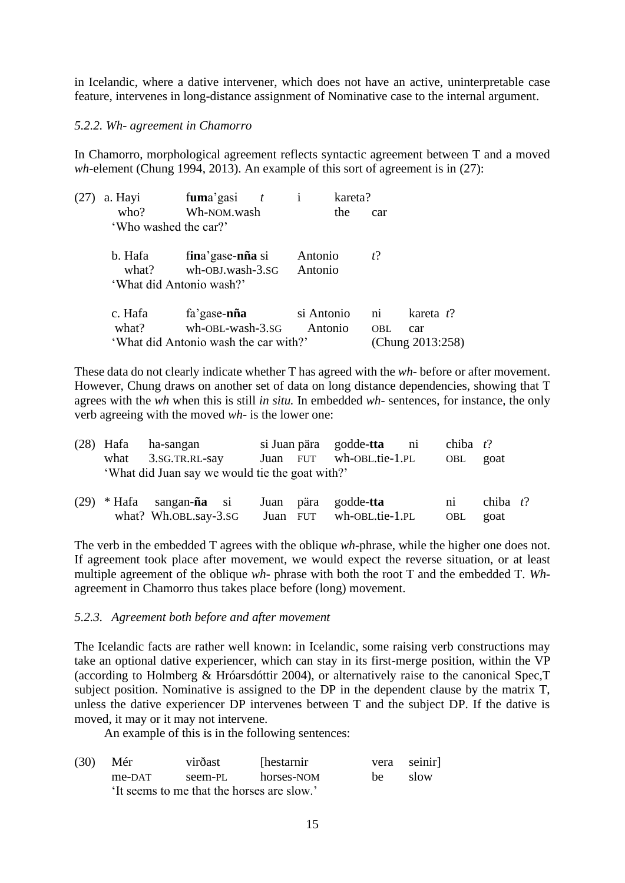in Icelandic, where a dative intervener, which does not have an active, uninterpretable case feature, intervenes in long-distance assignment of Nominative case to the internal argument.

### *5.2.2. Wh- agreement in Chamorro*

In Chamorro, morphological agreement reflects syntactic agreement between T and a moved *wh-*element (Chung 1994, 2013). An example of this sort of agreement is in (27):

| (27) | a. Hayi               | fuma'gasi $t$                                                     | kareta?            |            |                  |
|------|-----------------------|-------------------------------------------------------------------|--------------------|------------|------------------|
|      | who?                  | Wh-NOM.wash                                                       | the                | car        |                  |
|      | 'Who washed the car?' |                                                                   |                    |            |                  |
|      | b. Hafa<br>what?      | fina' gase-nña si<br>wh-OBJ.wash-3.SG<br>'What did Antonio wash?' | Antonio<br>Antonio | $t$ ?      |                  |
|      |                       |                                                                   |                    |            |                  |
|      | c. Hafa               | fa'gase-nña                                                       | si Antonio         | ni         | kareta t?        |
|      | what?                 | wh-OBL-wash-3.SG                                                  | Antonio            | <b>OBL</b> | car              |
|      |                       | 'What did Antonio wash the car with?'                             |                    |            | (Chung 2013:258) |

These data do not clearly indicate whether T has agreed with the *wh*- before or after movement. However, Chung draws on another set of data on long distance dependencies, showing that T agrees with the *wh* when this is still *in situ.* In embedded *wh*- sentences, for instance, the only verb agreeing with the moved *wh-* is the lower one:

|  | $(28)$ Hafa ha-sangan<br>what $3.SG.TR.RL-say$<br>'What did Juan say we would tie the goat with?' |  | si Juan pära godde-tta ni<br>Juan FUT wh-OBL.tie-1.PL | chiba $t$ ?<br>OBL | goat        |  |
|--|---------------------------------------------------------------------------------------------------|--|-------------------------------------------------------|--------------------|-------------|--|
|  | $(29)$ * Hafa sangan- <b>ña</b> si Juan pära godde-tta                                            |  |                                                       | $n_{1}$            | chiba $t$ ? |  |

The verb in the embedded T agrees with the oblique *wh-*phrase, while the higher one does not. If agreement took place after movement, we would expect the reverse situation, or at least multiple agreement of the oblique *wh-* phrase with both the root T and the embedded T. *Wh*agreement in Chamorro thus takes place before (long) movement.

what? Wh.OBL.say-3.sG Juan FUT wh-OBL.tie-1.PL OBL goat

### *5.2.3. Agreement both before and after movement*

The Icelandic facts are rather well known: in Icelandic, some raising verb constructions may take an optional dative experiencer, which can stay in its first-merge position, within the VP (according to Holmberg & Hróarsdóttir 2004), or alternatively raise to the canonical Spec,T subject position. Nominative is assigned to the DP in the dependent clause by the matrix T, unless the dative experiencer DP intervenes between T and the subject DP. If the dative is moved, it may or it may not intervene.

An example of this is in the following sentences:

| (30) | Mér                                        | virðast | [hestarnir] |    | vera seinir |  |  |  |
|------|--------------------------------------------|---------|-------------|----|-------------|--|--|--|
|      | me-DAT                                     | seem-PL | horses-NOM  | be | slow        |  |  |  |
|      | 'It seems to me that the horses are slow.' |         |             |    |             |  |  |  |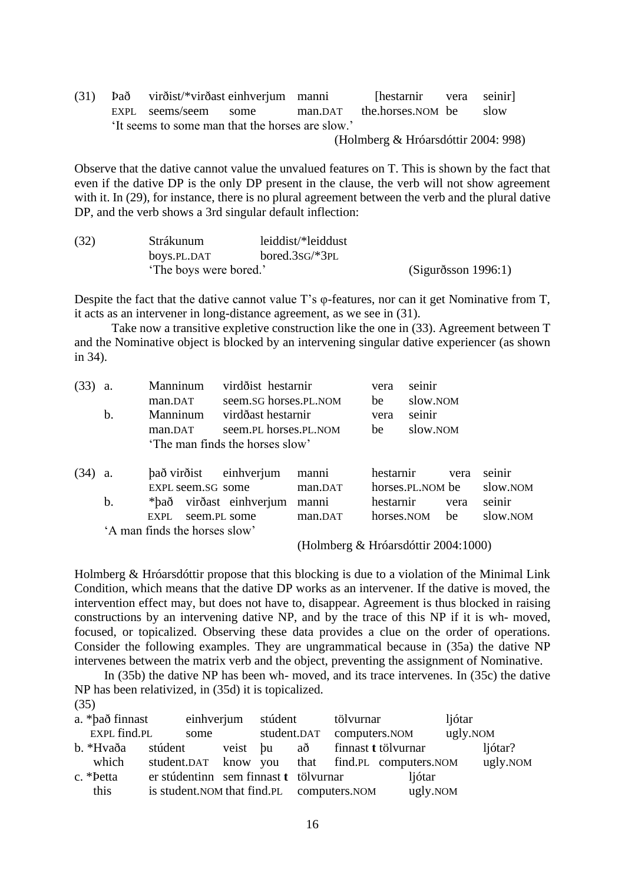$(31)$  Það virðist/\*virðast einhverjum manni [hestarnir vera seinir] EXPL seems/seem some man.DAT the.horses.NOM be slow 'It seems to some man that the horses are slow.'

(Holmberg & Hróarsdóttir 2004: 998)

Observe that the dative cannot value the unvalued features on T. This is shown by the fact that even if the dative DP is the only DP present in the clause, the verb will not show agreement with it. In (29), for instance, there is no plural agreement between the verb and the plural dative DP, and the verb shows a 3rd singular default inflection:

| (32) | Strákunum              | leiddist/*leiddust            |                     |
|------|------------------------|-------------------------------|---------------------|
|      | boys.PL.DAT            | bored.3s $G$ <sup>*</sup> 3PL |                     |
|      | 'The boys were bored.' |                               | (Sigurðsson 1996:1) |

Despite the fact that the dative cannot value T's φ-features, nor can it get Nominative from T, it acts as an intervener in long-distance agreement, as we see in (31).

Take now a transitive expletive construction like the one in (33). Agreement between T and the Nominative object is blocked by an intervening singular dative experiencer (as shown in 34).

| (33) | a. | Manninum                      | virdðist hestarnir              |         | vera       | seinir           |      |          |
|------|----|-------------------------------|---------------------------------|---------|------------|------------------|------|----------|
|      |    | man.DAT                       | seem.SG horses.PL.NOM           |         | be         | slow.NOM         |      |          |
|      | b. | <b>Manninum</b>               | virdðast hestarnir              |         | vera       | seinir           |      |          |
|      |    | man.DAT                       | seem. PL horses. PL. NOM        |         | be         | slow.NOM         |      |          |
|      |    |                               | 'The man finds the horses slow' |         |            |                  |      |          |
| (34) | a. | það virðist einhverjum        |                                 | manni   | hestarnir  |                  | vera | seinir   |
|      |    | EXPL seem.SG some             |                                 | man.DAT |            | horses.PL.NOM be |      | slow.NOM |
|      | b. | *bað                          | virðast einhverjum              | manni   | hestarnir  |                  | vera | seinir   |
|      |    | <b>EXPL</b>                   | seem.PL some                    | man.DAT | horses.NOM |                  | be   | slow.NOM |
|      |    | 'A man finds the horses slow' |                                 |         |            |                  |      |          |

(Holmberg & Hróarsdóttir 2004:1000)

Holmberg & Hróarsdóttir propose that this blocking is due to a violation of the Minimal Link Condition, which means that the dative DP works as an intervener. If the dative is moved, the intervention effect may, but does not have to, disappear. Agreement is thus blocked in raising constructions by an intervening dative NP, and by the trace of this NP if it is wh- moved, focused, or topicalized. Observing these data provides a clue on the order of operations. Consider the following examples. They are ungrammatical because in (35a) the dative NP intervenes between the matrix verb and the object, preventing the assignment of Nominative.

In (35b) the dative NP has been wh- moved, and its trace intervenes. In (35c) the dative NP has been relativized, in (35d) it is topicalized. (35)

| a. *það finnast |                                                 | einhverjum stúdent |  | tölvurnar                 |                                | ljótar   |          |
|-----------------|-------------------------------------------------|--------------------|--|---------------------------|--------------------------------|----------|----------|
| EXPL find.PL    | some                                            |                    |  | student.DAT computers.NOM |                                | ugly.NOM |          |
| b. *Hvaða       | stúdent                                         |                    |  |                           | veist þu að finnast tiölvurnar |          | ljótar?  |
| which           | student.DAT know you that find.PL computers.NOM |                    |  |                           |                                |          | ugly.NOM |
| c. *Petta       | er stúdentinn sem finnast t tölvurnar           |                    |  |                           | ljótar                         |          |          |
| this            | is student. NOM that find. PL computers. NOM    |                    |  |                           | ugly.NOM                       |          |          |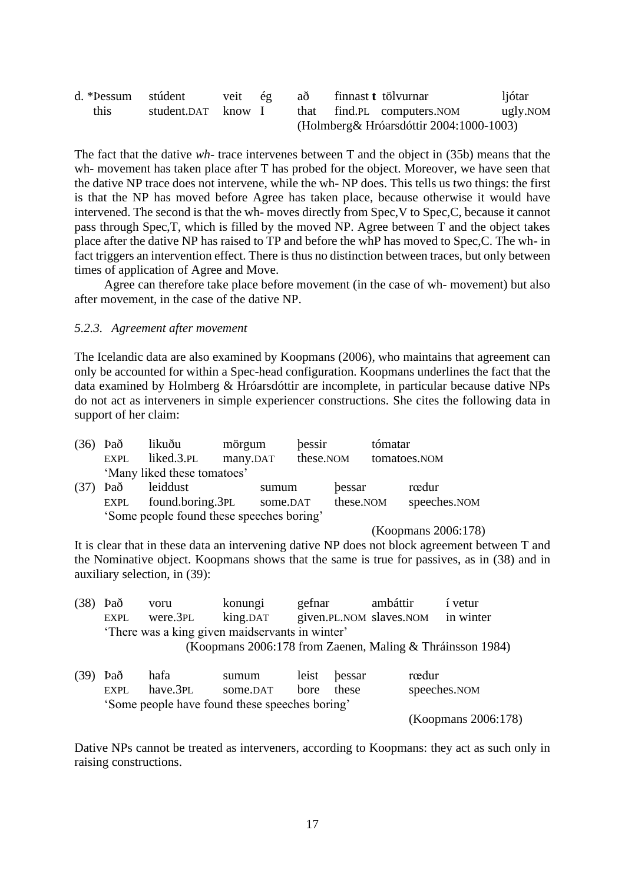| d. *Pessum | stúdent          | veit | ég | aθ   |                                          | finnast t tölvurnar   | ljótar   |  |  |
|------------|------------------|------|----|------|------------------------------------------|-----------------------|----------|--|--|
| this       | student.DAT know |      |    | that |                                          | find.PL computers.NOM | ugly.NOM |  |  |
|            |                  |      |    |      | (Holmberg & Hróarsdóttir 2004:1000-1003) |                       |          |  |  |

The fact that the dative *wh-* trace intervenes between T and the object in (35b) means that the wh- movement has taken place after T has probed for the object. Moreover, we have seen that the dative NP trace does not intervene, while the wh- NP does. This tells us two things: the first is that the NP has moved before Agree has taken place, because otherwise it would have intervened. The second is that the wh- moves directly from Spec,V to Spec,C, because it cannot pass through Spec,T, which is filled by the moved NP. Agree between T and the object takes place after the dative NP has raised to TP and before the whP has moved to Spec,C. The wh- in fact triggers an intervention effect. There is thus no distinction between traces, but only between times of application of Agree and Move.

Agree can therefore take place before movement (in the case of wh- movement) but also after movement, in the case of the dative NP.

#### *5.2.3. Agreement after movement*

The Icelandic data are also examined by Koopmans (2006), who maintains that agreement can only be accounted for within a Spec-head configuration. Koopmans underlines the fact that the data examined by Holmberg & Hróarsdóttir are incomplete, in particular because dative NPs do not act as interveners in simple experiencer constructions. She cites the following data in support of her claim:

|      | $(36)$ Það<br><b>EXPL</b>                 | likuðu<br>liked.3.PL        | mörgum<br>many.DAT |          | bessir<br>these.NOM |           | tómatar | tomatoes.NOM |
|------|-------------------------------------------|-----------------------------|--------------------|----------|---------------------|-----------|---------|--------------|
|      |                                           | 'Many liked these tomatoes' |                    |          |                     |           |         |              |
| (37) | Það                                       | leiddust                    |                    | sumum    |                     | bessar    |         | rœdur        |
|      | EXPL                                      | found.boring.3PL            |                    | some.DAT |                     | these.NOM |         | speeches.NOM |
|      | 'Some people found these speeches boring' |                             |                    |          |                     |           |         |              |

#### (Koopmans 2006:178)

It is clear that in these data an intervening dative NP does not block agreement between T and the Nominative object. Koopmans shows that the same is true for passives, as in (38) and in auxiliary selection, in (39):

|                                                 | $(38)$ Það | voru     | konungi                                                   | gefnar | ambáttir                          | í vetur |
|-------------------------------------------------|------------|----------|-----------------------------------------------------------|--------|-----------------------------------|---------|
|                                                 | EXPL       | were.3PL | king.DAT                                                  |        | given.PL.NOM slaves.NOM in winter |         |
| 'There was a king given maidservants in winter' |            |          |                                                           |        |                                   |         |
|                                                 |            |          | (Koopmans 2006:178 from Zaenen, Maling & Thráinsson 1984) |        |                                   |         |
|                                                 |            |          |                                                           |        |                                   |         |

| $(39)$ Það | hafa                                           | sumum    | leist bessar | rœdur               |
|------------|------------------------------------------------|----------|--------------|---------------------|
| EXPL.      | have.3PL                                       | some.DAT | bore these   | speeches.NOM        |
|            | 'Some people have found these speeches boring' |          |              |                     |
|            |                                                |          |              | (Koopmans 2006:178) |

Dative NPs cannot be treated as interveners, according to Koopmans: they act as such only in raising constructions.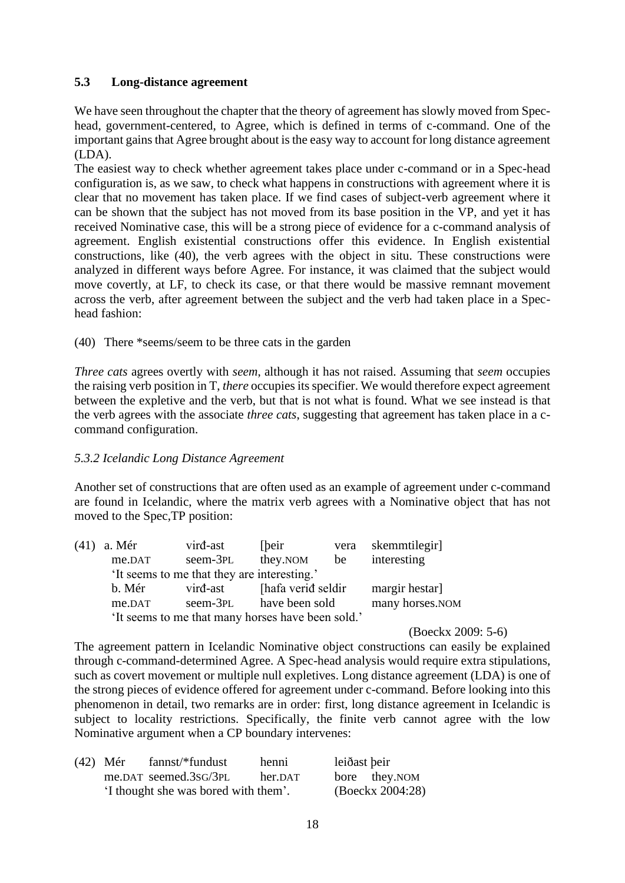# **5.3 Long-distance agreement**

We have seen throughout the chapter that the theory of agreement has slowly moved from Spechead, government-centered, to Agree, which is defined in terms of c-command. One of the important gains that Agree brought about is the easy way to account for long distance agreement (LDA).

The easiest way to check whether agreement takes place under c-command or in a Spec-head configuration is, as we saw, to check what happens in constructions with agreement where it is clear that no movement has taken place. If we find cases of subject-verb agreement where it can be shown that the subject has not moved from its base position in the VP, and yet it has received Nominative case, this will be a strong piece of evidence for a c-command analysis of agreement. English existential constructions offer this evidence. In English existential constructions, like (40), the verb agrees with the object in situ. These constructions were analyzed in different ways before Agree. For instance, it was claimed that the subject would move covertly, at LF, to check its case, or that there would be massive remnant movement across the verb, after agreement between the subject and the verb had taken place in a Spechead fashion:

(40) There \*seems/seem to be three cats in the garden

*Three cats* agrees overtly with *seem*, although it has not raised. Assuming that *seem* occupies the raising verb position in T, *there* occupies its specifier. We would therefore expect agreement between the expletive and the verb, but that is not what is found. What we see instead is that the verb agrees with the associate *three cats*, suggesting that agreement has taken place in a ccommand configuration.

# *5.3.2 Icelandic Long Distance Agreement*

Another set of constructions that are often used as an example of agreement under c-command are found in Icelandic, where the matrix verb agrees with a Nominative object that has not moved to the Spec,TP position:

| $(41)$ a. Mér                                     | vird-ast        | [beir]             | vera | skemmtilegir   |
|---------------------------------------------------|-----------------|--------------------|------|----------------|
| me.DAT                                            | seem-3PL        | they.NOM           | be   | interesting    |
| 'It seems to me that they are interesting.'       |                 |                    |      |                |
| b. Mér                                            | virđ-ast        | [hafa verið seldir |      | margir hestar] |
| me.DAT                                            | many horses.NOM |                    |      |                |
| 'It seems to me that many horses have been sold.' |                 |                    |      |                |

(Boeckx 2009: 5-6)

The agreement pattern in Icelandic Nominative object constructions can easily be explained through c-command-determined Agree. A Spec-head analysis would require extra stipulations, such as covert movement or multiple null expletives. Long distance agreement (LDA) is one of the strong pieces of evidence offered for agreement under c-command. Before looking into this phenomenon in detail, two remarks are in order: first, long distance agreement in Icelandic is subject to locality restrictions. Specifically, the finite verb cannot agree with the low Nominative argument when a CP boundary intervenes:

| $(42)$ Mér | fannst/*fundust                      | henni   | leiðast þeir     |               |
|------------|--------------------------------------|---------|------------------|---------------|
|            | me.DAT seemed.3sG/3PL                | her.DAT |                  | bore they.NOM |
|            | 'I thought she was bored with them'. |         | (Boeckx 2004:28) |               |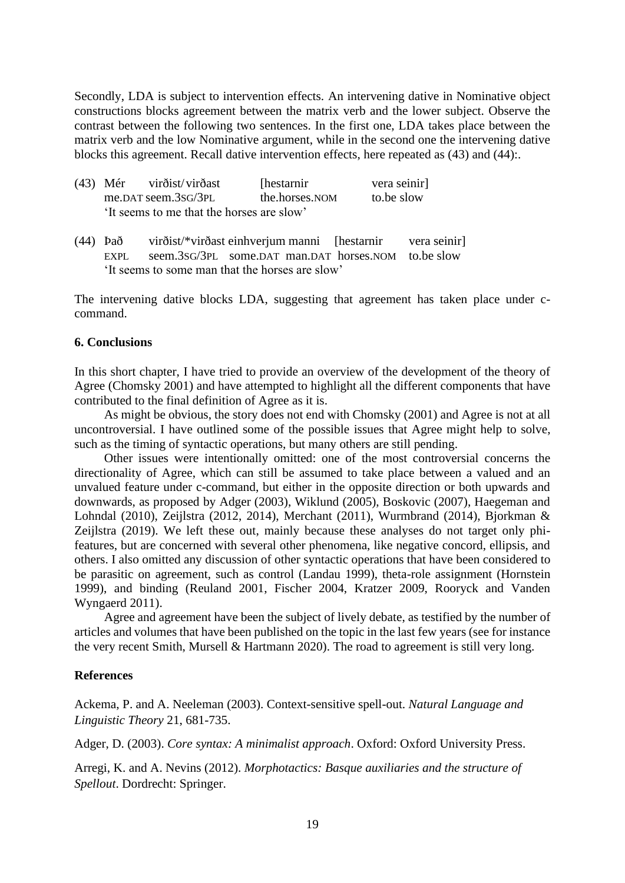Secondly, LDA is subject to intervention effects. An intervening dative in Nominative object constructions blocks agreement between the matrix verb and the lower subject. Observe the contrast between the following two sentences. In the first one, LDA takes place between the matrix verb and the low Nominative argument, while in the second one the intervening dative blocks this agreement. Recall dative intervention effects, here repeated as (43) and (44):.

| (43) Mér | virðist/virðast                           | [hestarnir]    | vera seinir |
|----------|-------------------------------------------|----------------|-------------|
|          | me.DAT seem.3SG/3PL                       | the.horses.nom | to be slow  |
|          | 'It seems to me that the horses are slow' |                |             |

(44) Það virðist/\*virðast einhverjum manni [hestarnir vera seinir] EXPL seem.3SG/3PL some.DAT man.DAT horses.NOM to.be slow 'It seems to some man that the horses are slow'

The intervening dative blocks LDA, suggesting that agreement has taken place under ccommand.

## **6. Conclusions**

In this short chapter, I have tried to provide an overview of the development of the theory of Agree (Chomsky 2001) and have attempted to highlight all the different components that have contributed to the final definition of Agree as it is.

As might be obvious, the story does not end with Chomsky (2001) and Agree is not at all uncontroversial. I have outlined some of the possible issues that Agree might help to solve, such as the timing of syntactic operations, but many others are still pending.

Other issues were intentionally omitted: one of the most controversial concerns the directionality of Agree, which can still be assumed to take place between a valued and an unvalued feature under c-command, but either in the opposite direction or both upwards and downwards, as proposed by Adger (2003), Wiklund (2005), Boskovic (2007), Haegeman and Lohndal (2010), Zeijlstra (2012, 2014), Merchant (2011), Wurmbrand (2014), Bjorkman & Zeijlstra (2019). We left these out, mainly because these analyses do not target only phifeatures, but are concerned with several other phenomena, like negative concord, ellipsis, and others. I also omitted any discussion of other syntactic operations that have been considered to be parasitic on agreement, such as control (Landau 1999), theta-role assignment (Hornstein 1999), and binding (Reuland 2001, Fischer 2004, Kratzer 2009, Rooryck and Vanden Wyngaerd 2011).

Agree and agreement have been the subject of lively debate, as testified by the number of articles and volumes that have been published on the topic in the last few years (see for instance the very recent Smith, Mursell & Hartmann 2020). The road to agreement is still very long.

### **References**

Ackema, P. and A. Neeleman (2003). Context-sensitive spell-out. *Natural Language and Linguistic Theory* 21, 681-735.

Adger, D. (2003). *Core syntax: A minimalist approach*. Oxford: Oxford University Press.

Arregi, K. and A. Nevins (2012). *Morphotactics: Basque auxiliaries and the structure of Spellout*. Dordrecht: Springer.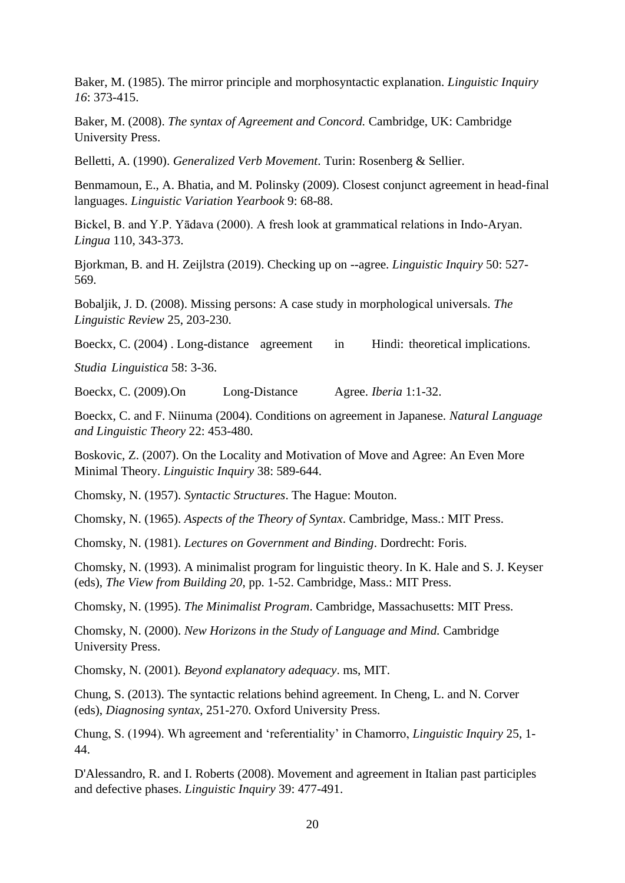Baker, M. (1985). The mirror principle and morphosyntactic explanation. *Linguistic Inquiry 16*: 373-415.

Baker, M. (2008). *The syntax of Agreement and Concord.* Cambridge, UK: Cambridge University Press.

Belletti, A. (1990). *Generalized Verb Movement*. Turin: Rosenberg & Sellier.

Benmamoun, E., A. Bhatia, and M. Polinsky (2009). Closest conjunct agreement in head-final languages. *Linguistic Variation Yearbook* 9: 68-88.

Bickel, B. and Y.P. Yādava (2000). A fresh look at grammatical relations in Indo-Aryan. *Lingua* 110, 343-373.

Bjorkman, B. and H. Zeijlstra (2019). Checking up on --agree. *Linguistic Inquiry* 50: 527- 569.

Bobaljik, J. D. (2008). Missing persons: A case study in morphological universals*. The Linguistic Review* 25, 203-230.

Boeckx, C. (2004). Long-distance agreement in Hindi: theoretical implications.

*Studia Linguistica* 58: 3-36.

Boeckx, C. (2009).On Long-Distance Agree. *Iberia* 1:1-32.

Boeckx, C. and F. Niinuma (2004). Conditions on agreement in Japanese. *Natural Language and Linguistic Theory* 22: 453-480.

Boskovic, Z. (2007). On the Locality and Motivation of Move and Agree: An Even More Minimal Theory. *Linguistic Inquiry* 38: 589-644.

Chomsky, N. (1957). *Syntactic Structures*. The Hague: Mouton.

Chomsky, N. (1965). *Aspects of the Theory of Syntax*. Cambridge, Mass.: MIT Press.

Chomsky, N. (1981). *Lectures on Government and Binding*. Dordrecht: Foris.

Chomsky, N. (1993). A minimalist program for linguistic theory. In K. Hale and S. J. Keyser (eds), *The View from Building 20*, pp. 1-52. Cambridge, Mass.: MIT Press.

Chomsky, N. (1995). *The Minimalist Program*. Cambridge, Massachusetts: MIT Press.

Chomsky, N. (2000). *New Horizons in the Study of Language and Mind.* Cambridge University Press.

Chomsky, N. (2001)*. Beyond explanatory adequacy*. ms, MIT.

Chung, S. (2013). The syntactic relations behind agreement. In Cheng, L. and N. Corver (eds), *Diagnosing syntax*, 251-270. Oxford University Press.

Chung, S. (1994). Wh agreement and 'referentiality' in Chamorro, *Linguistic Inquiry* 25, 1- 44.

D'Alessandro, R. and I. Roberts (2008). Movement and agreement in Italian past participles and defective phases. *Linguistic Inquiry* 39: 477-491.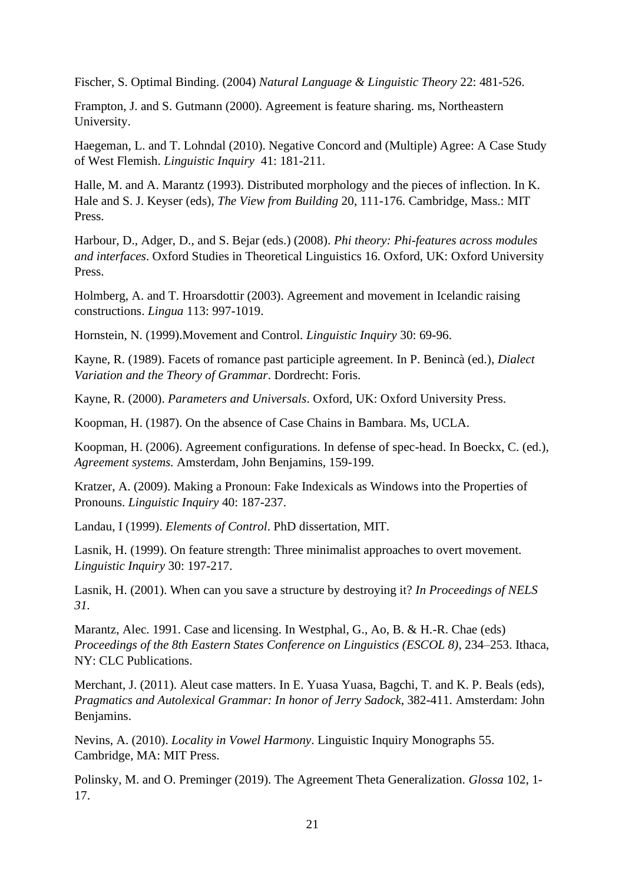Fischer, S. Optimal Binding. (2004) *Natural Language & Linguistic Theory* 22: 481-526.

Frampton, J. and S. Gutmann (2000). Agreement is feature sharing. ms, Northeastern University.

Haegeman, L. and T. Lohndal (2010). Negative Concord and (Multiple) Agree: A Case Study of West Flemish. *Linguistic Inquiry* 41: 181-211.

Halle, M. and A. Marantz (1993). Distributed morphology and the pieces of inflection. In K. Hale and S. J. Keyser (eds), *The View from Building* 20, 111-176. Cambridge, Mass.: MIT Press.

Harbour, D., Adger, D., and S. Bejar (eds.) (2008). *Phi theory: Phi-features across modules and interfaces*. Oxford Studies in Theoretical Linguistics 16. Oxford, UK: Oxford University Press.

Holmberg, A. and T. Hroarsdottir (2003). Agreement and movement in Icelandic raising constructions. *Lingua* 113: 997-1019.

Hornstein, N. (1999).Movement and Control. *Linguistic Inquiry* 30: 69-96.

Kayne, R. (1989). Facets of romance past participle agreement. In P. Benincà (ed.), *Dialect Variation and the Theory of Grammar*. Dordrecht: Foris.

Kayne, R. (2000). *Parameters and Universals*. Oxford, UK: Oxford University Press.

Koopman, H. (1987). On the absence of Case Chains in Bambara. Ms, UCLA.

Koopman, H. (2006). Agreement configurations. In defense of spec-head. In Boeckx, C. (ed.), *Agreement systems.* Amsterdam, John Benjamins, 159-199.

Kratzer, A. (2009). Making a Pronoun: Fake Indexicals as Windows into the Properties of Pronouns. *Linguistic Inquiry* 40: 187-237.

Landau, I (1999). *Elements of Control*. PhD dissertation, MIT.

Lasnik, H. (1999). On feature strength: Three minimalist approaches to overt movement. *Linguistic Inquiry* 30: 197-217.

Lasnik, H. (2001). When can you save a structure by destroying it? *In Proceedings of NELS 31.*

Marantz, Alec. 1991. Case and licensing. In Westphal, G., Ao, B. & H.-R. Chae (eds) *Proceedings of the 8th Eastern States Conference on Linguistics (ESCOL 8)*, 234–253. Ithaca, NY: CLC Publications.

Merchant, J. (2011). Aleut case matters. In E. Yuasa Yuasa, Bagchi, T. and K. P. Beals (eds), *Pragmatics and Autolexical Grammar: In honor of Jerry Sadock*, 382-411. Amsterdam: John Benjamins.

Nevins, A. (2010). *Locality in Vowel Harmony*. Linguistic Inquiry Monographs 55. Cambridge, MA: MIT Press.

Polinsky, M. and O. Preminger (2019). The Agreement Theta Generalization. *Glossa* 102, 1- 17.